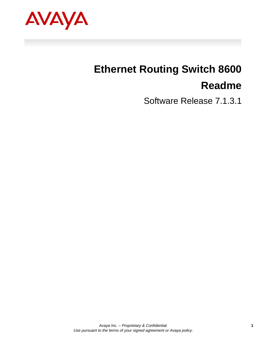<span id="page-0-1"></span><span id="page-0-0"></span>

# <span id="page-0-2"></span>**Ethernet Routing Switch 8600 Readme**

Software Release 7.1.3.1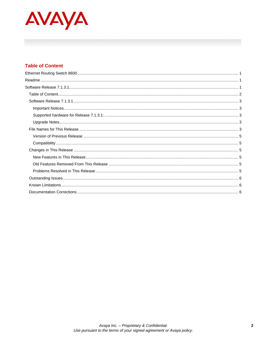

# <span id="page-1-0"></span>**Table of Content**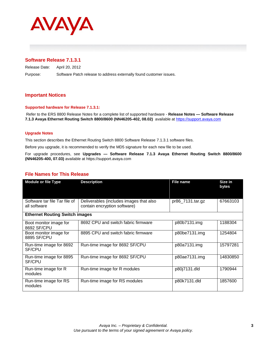

# <span id="page-2-0"></span>**Software Release 7.1.3.1**

Release Date: April 20, 2012 Purpose: Software Patch release to address externally found customer issues.

## <span id="page-2-1"></span>**Important Notices**

#### <span id="page-2-2"></span>**Supported hardware for Release 7.1.3.1:**

Refer to the ERS 8800 Release Notes for a complete list of supported hardware - **Release Notes — Software Release 7.1.3 Avaya Ethernet Routing Switch 8800/8600 (NN46205-402, 08.02)** available at [https://support.avaya.com](https://support.avaya.com/)

#### <span id="page-2-3"></span>**Upgrade Notes**

This section describes the Ethernet Routing Switch 8800 Software Release 7.1.3.1 software files.

Before you upgrade, it is recommended to verify the MD5 signature for each new file to be used.

For upgrade procedures, see **Upgrades — Software Release 7.1.3 Avaya Ethernet Routing Switch 8800/8600 (NN46205-400, 07.03)** available at https://support.avaya.com

#### <span id="page-2-4"></span>**File Names for This Release**

| <b>Module or file Type</b>                    | <b>Description</b>                                                      | <b>File name</b> | Size in<br>bytes |
|-----------------------------------------------|-------------------------------------------------------------------------|------------------|------------------|
| Software tar file Tar file of<br>all software | Deliverables (includes images that also<br>contain encryption software) | pr86_7131.tar.gz | 67663103         |
| <b>Ethernet Routing Switch images</b>         |                                                                         |                  |                  |
| Boot monitor image for<br>8692 SF/CPU         | 8692 CPU and switch fabric firmware                                     | p80b7131.img     | 1188304          |
| Boot monitor image for<br>8895 SF/CPU         | 8895 CPU and switch fabric firmware                                     | p80be7131.img    | 1254804          |
| Run-time image for 8692<br>SF/CPU             | Run-time image for 8692 SF/CPU                                          | p80a7131.img     | 15797281         |
| Run-time image for 8895<br>SF/CPU             | Run-time image for 8692 SF/CPU                                          | p80ae7131.img    | 14830850         |
| Run-time image for R<br>modules               | Run-time image for R modules                                            | p80j7131.dld     | 1790944          |
| Run-time image for RS<br>modules              | Run-time image for RS modules                                           | p80k7131.dld     | 1857600          |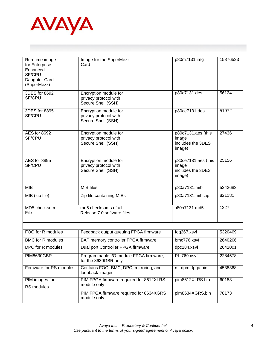

| Run-time image<br>for Enterprise<br>Enhanced<br><b>SF/CPU</b><br>Daughter Card<br>(SuperMezz) | Image for the SuperMezz<br>Card                                      | p80m7131.img                                                | 15876533 |
|-----------------------------------------------------------------------------------------------|----------------------------------------------------------------------|-------------------------------------------------------------|----------|
| 3DES for 8692<br><b>SF/CPU</b>                                                                | Encryption module for<br>privacy protocol with<br>Secure Shell (SSH) | p80c7131.des                                                | 56124    |
| 3DES for 8895<br><b>SF/CPU</b>                                                                | Encryption module for<br>privacy protocol with<br>Secure Shell (SSH) | p80ce7131.des                                               | 51972    |
| AES for 8692<br><b>SF/CPU</b>                                                                 | Encryption module for<br>privacy protocol with<br>Secure Shell (SSH) | p80c7131.aes (this<br>image<br>includes the 3DES<br>image)  | 27436    |
| <b>AES</b> for 8895<br><b>SF/CPU</b>                                                          | Encryption module for<br>privacy protocol with<br>Secure Shell (SSH) | p80ce7131.aes (this<br>image<br>includes the 3DES<br>image) | 25156    |
| <b>MIB</b>                                                                                    | <b>MIB</b> files                                                     | p80a7131.mib                                                | 5242683  |
| MIB (zip file)                                                                                | Zip file containing MIBs                                             | p80a7131.mib.zip                                            | 821181   |
| MD5 checksum<br>File                                                                          | md5 checksums of all<br>Release 7.0 software files                   | p80a7131.md5                                                | 1227     |
|                                                                                               |                                                                      |                                                             |          |
| FOQ for R modules                                                                             | Feedback output queuing FPGA firmware                                | $f$ oq $267.x$ svf                                          | 5320469  |
| <b>BMC</b> for R modules                                                                      | BAP memory controller FPGA firmware                                  | bmc776.xsvf                                                 | 2640266  |
| DPC for R modules                                                                             | Dual port Controller FPGA firmware                                   | dpc184.xsvf                                                 | 2642001  |
| <b>PIM8630GBR</b>                                                                             | Programmable I/O module FPGA firmware;<br>for the 8630GBR only       | PI_769.xsvf                                                 | 2284578  |
| Firmware for RS modules                                                                       | Contains FOQ, BMC, DPC, mirroring, and<br>loopback images            | rs_dpm_fpga.bin                                             | 4538368  |
| PIM images for<br>RS modules                                                                  | PIM FPGA firmware required for 8612XLRS<br>module only               | pim8612XLRS.bin                                             | 60183    |
|                                                                                               | PIM FPGA firmware required for 8634XGRS<br>module only               | pim8634XGRS.bin                                             | 78173    |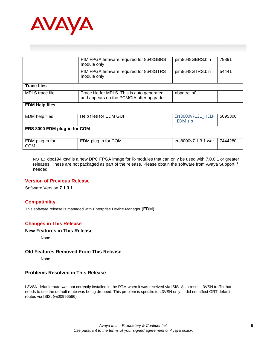

|                               | PIM FPGA firmware required for 8648GBRS<br>module only                                  | pim8648GBRS.bin              | 79891   |  |
|-------------------------------|-----------------------------------------------------------------------------------------|------------------------------|---------|--|
|                               | PIM FPGA firmware required for 8648GTRS<br>module only                                  | pim8648GTRS.bin              | 54441   |  |
| <b>Trace files</b>            |                                                                                         |                              |         |  |
| MPLS trace file               | Trace file for MPLS. This is auto generated<br>and appears on the PCMCIA after upgrade. | nbpdtrc.lo0                  |         |  |
| <b>EDM Help files</b>         |                                                                                         |                              |         |  |
| <b>EDM</b> help files         | Help files for EDM GUI                                                                  | Ers8000v7131 HELP<br>EDM.zip | 5095300 |  |
| ERS 8000 EDM plug-in for COM  |                                                                                         |                              |         |  |
| EDM plug-in for<br><b>COM</b> | EDM plug-in for COM                                                                     | ers8000v7.1.3.1.war          | 7444280 |  |

NOTE: dpc194.xsvf is a new DPC FPGA image for R-modules that can only be used with 7.0.0.1 or greater releases. These are not packaged as part of the release. Please obtain the software from Avaya Support if needed.

#### <span id="page-4-0"></span>**Version of Previous Release**

Software Version **7.1.3.1**

#### <span id="page-4-1"></span>**Compatibility**

This software release is managed with Enterprise Device Manager (EDM)

## <span id="page-4-2"></span>**Changes in This Release**

#### <span id="page-4-3"></span>**New Features in This Release**

None.

#### <span id="page-4-4"></span>**Old Features Removed From This Release**

None.

#### <span id="page-4-5"></span>**Problems Resolved in This Release**

L3VSN default route was not correctly installed in the RTM when it was received via ISIS. As a result L3VSN traffic that needs to use the default route was being dropped. This problem is specific to L3VSN only. It did not affect GRT default routes via ISIS. (wi00996566)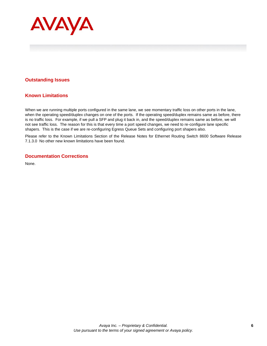

## <span id="page-5-0"></span>**Outstanding Issues**

## <span id="page-5-1"></span>**Known Limitations**

When we are running multiple ports configured in the same lane, we see momentary traffic loss on other ports in the lane, when the operating speed/duplex changes on one of the ports. If the operating speed/duplex remains same as before, there is no traffic loss. For example, if we pull a SFP and plug it back in, and the speed/duplex remains same as before, we will not see traffic loss. The reason for this is that every time a port speed changes, we need to re-configure lane specific shapers. This is the case if we are re-configuring Egress Queue Sets and configuring port shapers also.

Please refer to the Known Limitations Section of the Release Notes for Ethernet Routing Switch 8600 Software Release 7.1.3.0 No other new known limitations have been found.

### <span id="page-5-2"></span>**Documentation Corrections**

None.